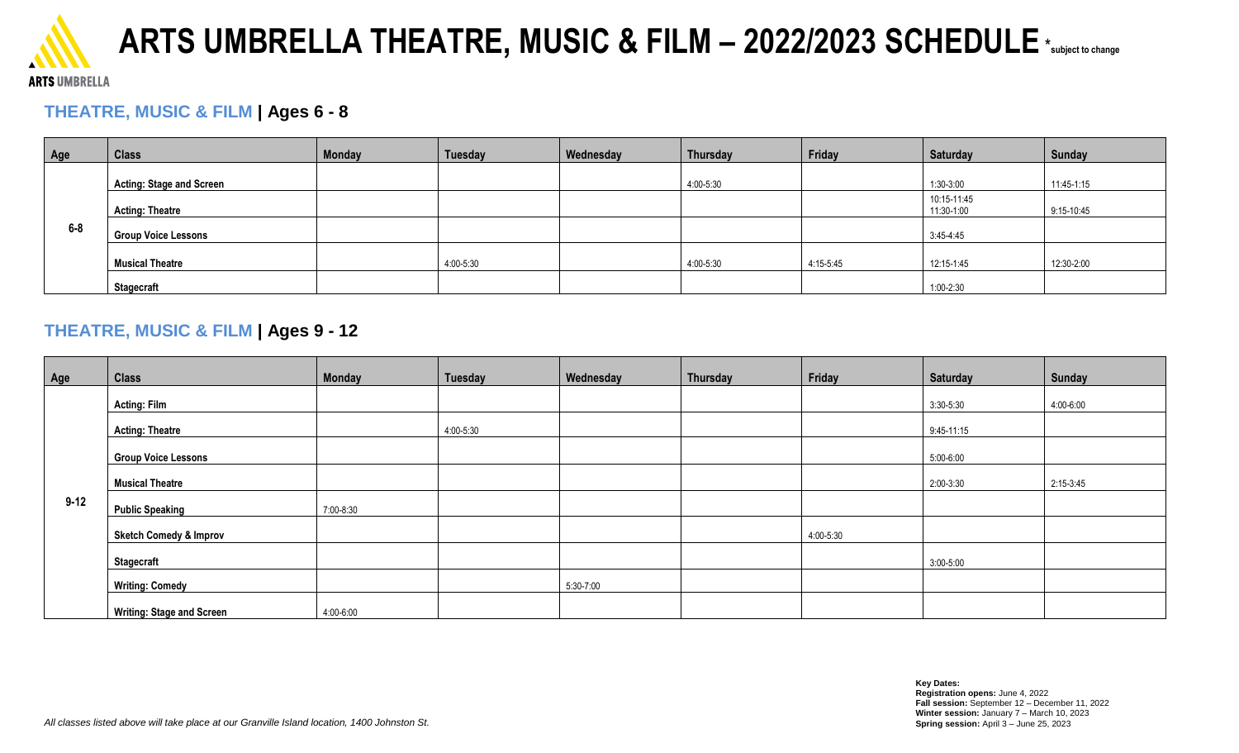

## **ARTS UMBRELLA THEATRE, MUSIC & FILM – 2022/2023 SCHEDULE**\* **subject to change**

#### **ARTS UMBRELLA**

### **THEATRE, MUSIC & FILM | Ages 6 - 8**

| Age   | <b>Class</b>                    | <b>Monday</b> | Tuesday   | Wednesday | Thursday  | Friday    | <b>Saturday</b>           | Sunday     |
|-------|---------------------------------|---------------|-----------|-----------|-----------|-----------|---------------------------|------------|
| $6-8$ | <b>Acting: Stage and Screen</b> |               |           |           | 4:00-5:30 |           | 1:30-3:00                 | 11:45-1:15 |
|       | <b>Acting: Theatre</b>          |               |           |           |           |           | 10:15-11:45<br>11:30-1:00 | 9:15-10:45 |
|       | <b>Group Voice Lessons</b>      |               |           |           |           |           | $3:45 - 4:45$             |            |
|       | <b>Musical Theatre</b>          |               | 4:00-5:30 |           | 4:00-5:30 | 4:15-5:45 | 12:15-1:45                | 12:30-2:00 |
|       | <b>Stagecraft</b>               |               |           |           |           |           | 1:00-2:30                 |            |

#### **THEATRE, MUSIC & FILM | Ages 9 - 12**

| Age      | <b>Class</b>                      | Monday    | <b>Tuesday</b> | Wednesday | Thursday | Friday    | <b>Saturday</b> | Sunday    |
|----------|-----------------------------------|-----------|----------------|-----------|----------|-----------|-----------------|-----------|
| $9 - 12$ | <b>Acting: Film</b>               |           |                |           |          |           | 3:30-5:30       | 4:00-6:00 |
|          | <b>Acting: Theatre</b>            |           | 4:00-5:30      |           |          |           | 9:45-11:15      |           |
|          | <b>Group Voice Lessons</b>        |           |                |           |          |           | 5:00-6:00       |           |
|          | <b>Musical Theatre</b>            |           |                |           |          |           | 2:00-3:30       | 2:15-3:45 |
|          | <b>Public Speaking</b>            | 7:00-8:30 |                |           |          |           |                 |           |
|          | <b>Sketch Comedy &amp; Improv</b> |           |                |           |          | 4:00-5:30 |                 |           |
|          | <b>Stagecraft</b>                 |           |                |           |          |           | 3:00-5:00       |           |
|          | <b>Writing: Comedy</b>            |           |                | 5:30-7:00 |          |           |                 |           |
|          | <b>Writing: Stage and Screen</b>  | 4:00-6:00 |                |           |          |           |                 |           |